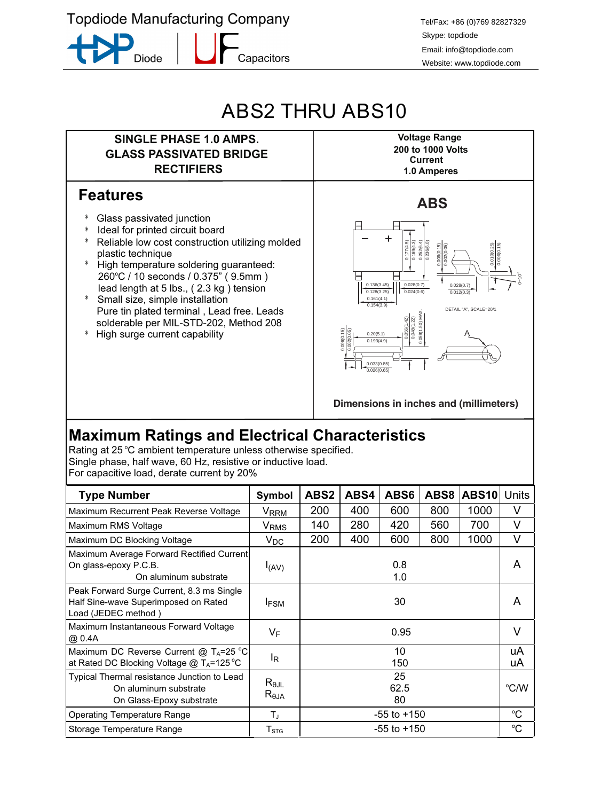**Topdiode Manufacturing Company** 

**Diode** 

Capacitors

Tel/Fax: +86 (0)769 82827329 Skype: topdiode Email: info@topdiode.com Website: www.topdiode.com

## ABS2 THRU ABS10



Rating at 25 °C ambient temperature unless otherwise specified. Single phase, half wave, 60 Hz, resistive or inductive load. For capacitive load, derate current by 20%

| <b>Type Number</b>                                                                                       | Symbol                       | ABS2             | ABS4 | ABS6       | ABS8 | <b>ABS10</b> | Units       |
|----------------------------------------------------------------------------------------------------------|------------------------------|------------------|------|------------|------|--------------|-------------|
| Maximum Recurrent Peak Reverse Voltage                                                                   | $V_{RRM}$                    | 200              | 400  | 600        | 800  | 1000         | V           |
| Maximum RMS Voltage                                                                                      | V <sub>RMS</sub>             | 140              | 280  | 420        | 560  | 700          | V           |
| Maximum DC Blocking Voltage                                                                              | $V_{DC}$                     | 200              | 400  | 600        | 800  | 1000         | V           |
| Maximum Average Forward Rectified Current<br>On glass-epoxy P.C.B.<br>On aluminum substrate              | I(AV)                        |                  |      | 0.8<br>1.0 |      |              | A           |
| Peak Forward Surge Current, 8.3 ms Single<br>Half Sine-wave Superimposed on Rated<br>Load (JEDEC method) | <b>IFSM</b>                  |                  |      | 30         |      |              | A           |
| Maximum Instantaneous Forward Voltage<br>@ 0.4A                                                          | VF                           | 0.95             |      |            |      |              | V           |
| Maximum DC Reverse Current @ $T_A = 25 \degree C$<br>at Rated DC Blocking Voltage @ $T_A = 125^{\circ}C$ | l <sub>R</sub>               |                  |      | 10<br>150  |      |              | uA<br>uA    |
| Typical Thermal resistance Junction to Lead<br>On aluminum substrate<br>On Glass-Epoxy substrate         | $R_{\theta$ JL<br>$R_{0,IA}$ | 25<br>62.5<br>80 |      |            |      |              | °C/W        |
| <b>Operating Temperature Range</b>                                                                       | T.                           | $-55$ to $+150$  |      |            |      |              | $^{\circ}C$ |
| Storage Temperature Range                                                                                | $T_{\mathrm{STG}}$           | $-55$ to $+150$  |      |            |      |              | °C          |